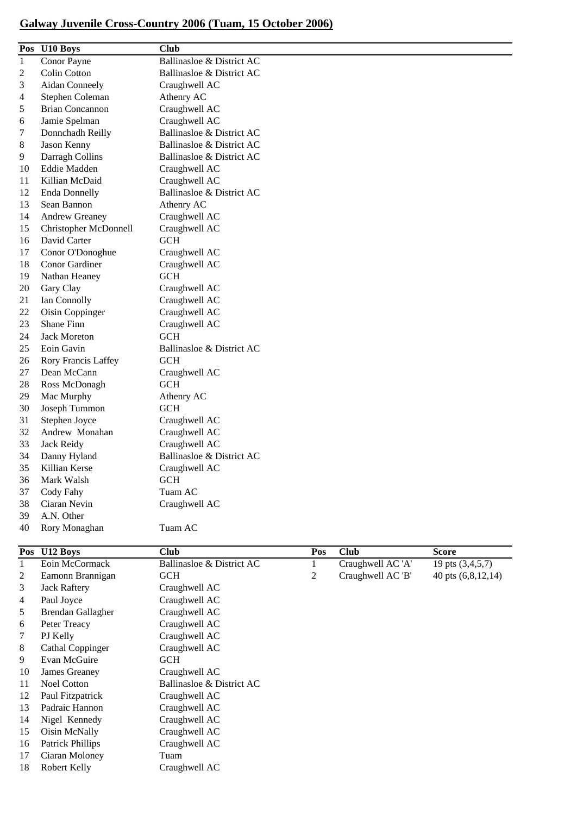## **Galway Juvenile Cross-Country 2006 (Tuam, 15 October 2006)**

|              | Pos U10 Boys           | <b>Club</b>               |              |                   |                  |
|--------------|------------------------|---------------------------|--------------|-------------------|------------------|
| $\mathbf{1}$ | Conor Payne            | Ballinasloe & District AC |              |                   |                  |
| 2            | Colin Cotton           | Ballinasloe & District AC |              |                   |                  |
| 3            | Aidan Conneely         | Craughwell AC             |              |                   |                  |
| 4            | Stephen Coleman        | Athenry AC                |              |                   |                  |
| 5            | <b>Brian Concannon</b> | Craughwell AC             |              |                   |                  |
| 6            | Jamie Spelman          | Craughwell AC             |              |                   |                  |
| 7            | Donnchadh Reilly       | Ballinasloe & District AC |              |                   |                  |
| 8            | Jason Kenny            | Ballinasloe & District AC |              |                   |                  |
| 9            | Darragh Collins        | Ballinasloe & District AC |              |                   |                  |
| 10           | Eddie Madden           | Craughwell AC             |              |                   |                  |
| 11           | Killian McDaid         | Craughwell AC             |              |                   |                  |
| 12           | <b>Enda Donnelly</b>   | Ballinasloe & District AC |              |                   |                  |
| 13           | Sean Bannon            | Athenry AC                |              |                   |                  |
| 14           | <b>Andrew Greaney</b>  | Craughwell AC             |              |                   |                  |
| 15           | Christopher McDonnell  | Craughwell AC             |              |                   |                  |
| 16           | David Carter           | <b>GCH</b>                |              |                   |                  |
| 17           | Conor O'Donoghue       | Craughwell AC             |              |                   |                  |
| 18           | Conor Gardiner         | Craughwell AC             |              |                   |                  |
| 19           | Nathan Heaney          | <b>GCH</b>                |              |                   |                  |
| 20           | Gary Clay              | Craughwell AC             |              |                   |                  |
| 21           | Ian Connolly           | Craughwell AC             |              |                   |                  |
| 22           | Oisin Coppinger        | Craughwell AC             |              |                   |                  |
| 23           | <b>Shane Finn</b>      | Craughwell AC             |              |                   |                  |
| 24           | <b>Jack Moreton</b>    | <b>GCH</b>                |              |                   |                  |
| 25           | Eoin Gavin             | Ballinasloe & District AC |              |                   |                  |
| 26           | Rory Francis Laffey    | <b>GCH</b>                |              |                   |                  |
| 27           | Dean McCann            | Craughwell AC             |              |                   |                  |
| 28           | Ross McDonagh          | <b>GCH</b>                |              |                   |                  |
| 29           | Mac Murphy             | Athenry AC                |              |                   |                  |
| 30           | Joseph Tummon          | <b>GCH</b>                |              |                   |                  |
| 31           | Stephen Joyce          | Craughwell AC             |              |                   |                  |
| 32           | Andrew Monahan         | Craughwell AC             |              |                   |                  |
| 33           | Jack Reidy             | Craughwell AC             |              |                   |                  |
| 34           | Danny Hyland           | Ballinasloe & District AC |              |                   |                  |
| 35           | Killian Kerse          | Craughwell AC             |              |                   |                  |
| 36           | Mark Walsh             | GCH                       |              |                   |                  |
| 37           | Cody Fahy              | Tuam AC                   |              |                   |                  |
| 38           | Ciaran Nevin           | Craughwell AC             |              |                   |                  |
| 39           | A.N. Other             |                           |              |                   |                  |
| 40           | Rory Monaghan          | Tuam AC                   |              |                   |                  |
|              | Pos U12 Boys           | <b>Club</b>               | Pos          | <b>Club</b>       | <b>Score</b>     |
| 1            | Eoin McCormack         | Ballinasloe & District AC | $\mathbf{1}$ | Craughwell AC 'A' | 19 pts (3,4,5,7) |
|              |                        | $\alpha$ $\alpha$         |              | $\alpha$ in i     | $\sqrt{701014}$  |

| 1  | Eoin McCormack           | Ballinasloe & District AC |   | Craughwell AC 'A' | 19 pts (3,4,5,7)   |
|----|--------------------------|---------------------------|---|-------------------|--------------------|
| 2  | Eamonn Brannigan         | <b>GCH</b>                | 2 | Craughwell AC 'B' | 40 pts (6,8,12,14) |
| 3  | <b>Jack Raftery</b>      | Craughwell AC             |   |                   |                    |
| 4  | Paul Joyce               | Craughwell AC             |   |                   |                    |
| 5  | <b>Brendan Gallagher</b> | Craughwell AC             |   |                   |                    |
| 6  | Peter Treacy             | Craughwell AC             |   |                   |                    |
| 7  | PJ Kelly                 | Craughwell AC             |   |                   |                    |
| 8  | <b>Cathal Coppinger</b>  | Craughwell AC             |   |                   |                    |
| 9  | Evan McGuire             | <b>GCH</b>                |   |                   |                    |
| 10 | James Greaney            | Craughwell AC             |   |                   |                    |
| 11 | <b>Noel Cotton</b>       | Ballinasloe & District AC |   |                   |                    |
| 12 | Paul Fitzpatrick         | Craughwell AC             |   |                   |                    |
| 13 | Padraic Hannon           | Craughwell AC             |   |                   |                    |
| 14 | Nigel Kennedy            | Craughwell AC             |   |                   |                    |
| 15 | Oisin McNally            | Craughwell AC             |   |                   |                    |
| 16 | <b>Patrick Phillips</b>  | Craughwell AC             |   |                   |                    |
| 17 | Ciaran Moloney           | Tuam                      |   |                   |                    |
| 18 | Robert Kelly             | Craughwell AC             |   |                   |                    |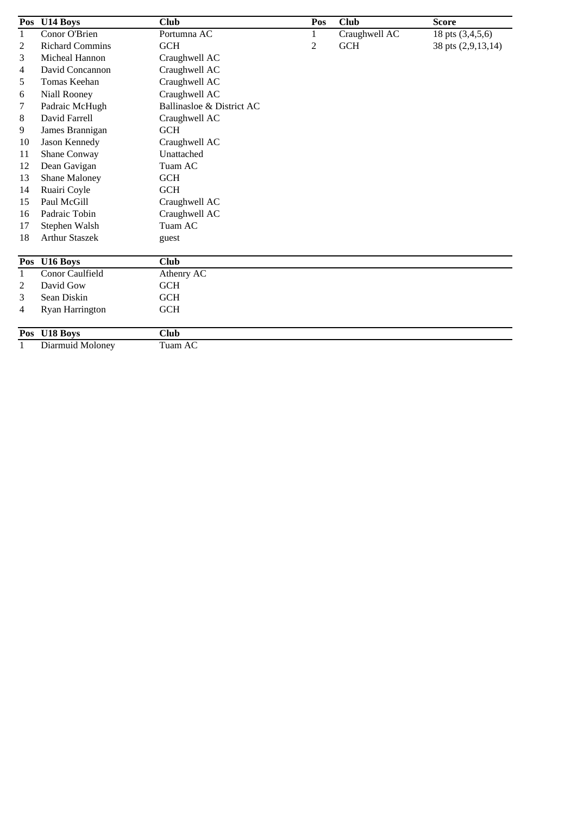|                | Pos U14 Boys           | <b>Club</b>               | Pos          | <b>Club</b>   | <b>Score</b>       |
|----------------|------------------------|---------------------------|--------------|---------------|--------------------|
| $\mathbf{1}$   | Conor O'Brien          | Portumna AC               | $\mathbf{1}$ | Craughwell AC | 18 pts (3,4,5,6)   |
| $\overline{2}$ | <b>Richard Commins</b> | <b>GCH</b>                | 2            | <b>GCH</b>    | 38 pts (2,9,13,14) |
| 3              | Micheal Hannon         | Craughwell AC             |              |               |                    |
| 4              | David Concannon        | Craughwell AC             |              |               |                    |
| 5              | Tomas Keehan           | Craughwell AC             |              |               |                    |
| 6              | Niall Rooney           | Craughwell AC             |              |               |                    |
| 7              | Padraic McHugh         | Ballinasloe & District AC |              |               |                    |
| 8              | David Farrell          | Craughwell AC             |              |               |                    |
| 9              | James Brannigan        | <b>GCH</b>                |              |               |                    |
| 10             | Jason Kennedy          | Craughwell AC             |              |               |                    |
| 11             | Shane Conway           | Unattached                |              |               |                    |
| 12             | Dean Gavigan           | Tuam AC                   |              |               |                    |
| 13             | Shane Maloney          | <b>GCH</b>                |              |               |                    |
| 14             | Ruairi Coyle           | <b>GCH</b>                |              |               |                    |
| 15             | Paul McGill            | Craughwell AC             |              |               |                    |
| 16             | Padraic Tobin          | Craughwell AC             |              |               |                    |
| 17             | Stephen Walsh          | Tuam AC                   |              |               |                    |
| 18             | <b>Arthur Staszek</b>  | guest                     |              |               |                    |
|                |                        |                           |              |               |                    |
|                | Pos U16 Boys           | <b>Club</b>               |              |               |                    |
| $\mathbf{1}$   | Conor Caulfield        | Athenry AC                |              |               |                    |
| 2              | David Gow              | <b>GCH</b>                |              |               |                    |
| 3              | Sean Diskin            | <b>GCH</b>                |              |               |                    |
| 4              | Ryan Harrington        | GCH                       |              |               |                    |
| Pos            | U18 Boys               | <b>Club</b>               |              |               |                    |
| 1              | Diarmuid Moloney       | Tuam AC                   |              |               |                    |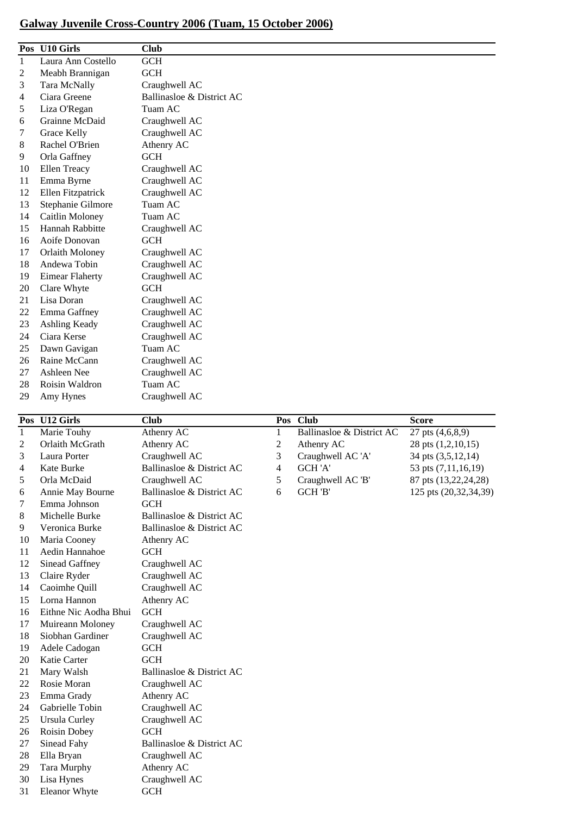## **Galway Juvenile Cross-Country 2006 (Tuam, 15 October 2006)**

| <b>Pos</b>   | <b>U10 Girls</b>       | <b>Club</b>               |
|--------------|------------------------|---------------------------|
| $\mathbf{1}$ | Laura Ann Costello     | <b>GCH</b>                |
| 2            | Meabh Brannigan        | <b>GCH</b>                |
| 3            | Tara McNally           | Craughwell AC             |
| 4            | Ciara Greene           | Ballinasloe & District AC |
| 5            | Liza O'Regan           | Tuam AC                   |
| 6            | Grainne McDaid         | Craughwell AC             |
| 7            | Grace Kelly            | Craughwell AC             |
| 8            | Rachel O'Brien         | Athenry AC                |
| 9            | Orla Gaffney           | <b>GCH</b>                |
| 10           | Ellen Treacy           | Craughwell AC             |
| 11           | Emma Byrne             | Craughwell AC             |
| 12           | Ellen Fitzpatrick      | Craughwell AC             |
| 13           | Stephanie Gilmore      | Tuam AC                   |
| 14           | Caitlin Moloney        | Tuam AC                   |
| 15           | Hannah Rabbitte        | Craughwell AC             |
| 16           | Aoife Donovan          | <b>GCH</b>                |
| 17           | Orlaith Moloney        | Craughwell AC             |
| 18           | Andewa Tobin           | Craughwell AC             |
| 19           | <b>Eimear Flaherty</b> | Craughwell AC             |
| 20           | Clare Whyte            | <b>GCH</b>                |
| 21           | Lisa Doran             | Craughwell AC             |
| 22           | Emma Gaffney           | Craughwell AC             |
| 23           | Ashling Keady          | Craughwell AC             |
| 24           | Ciara Kerse            | Craughwell AC             |
| 25           | Dawn Gavigan           | Tuam AC                   |
| 26           | Raine McCann           | Craughwell AC             |
| 27           | Ashleen Nee            | Craughwell AC             |
| 28           | Roisin Waldron         | Tuam AC                   |
| 29           | Amy Hynes              | Craughwell AC             |

|              | Pos U12 Girls         | <b>Club</b>               |   | Pos Club                  | <b>Score</b>          |
|--------------|-----------------------|---------------------------|---|---------------------------|-----------------------|
| $\mathbf{1}$ | Marie Touhy           | Athenry AC                | 1 | Ballinasloe & District AC | 27 pts (4,6,8,9)      |
| 2            | Orlaith McGrath       | Athenry AC                | 2 | Athenry AC                | 28 pts (1,2,10,15)    |
| 3            | Laura Porter          | Craughwell AC             | 3 | Craughwell AC 'A'         | 34 pts (3,5,12,14)    |
| 4            | Kate Burke            | Ballinasloe & District AC | 4 | GCH 'A'                   | 53 pts (7,11,16,19)   |
| 5            | Orla McDaid           | Craughwell AC             | 5 | Craughwell AC 'B'         | 87 pts (13,22,24,28)  |
| 6            | Annie May Bourne      | Ballinasloe & District AC | 6 | GCH 'B'                   | 125 pts (20,32,34,39) |
| 7            | Emma Johnson          | <b>GCH</b>                |   |                           |                       |
| 8            | Michelle Burke        | Ballinasloe & District AC |   |                           |                       |
| 9            | Veronica Burke        | Ballinasloe & District AC |   |                           |                       |
| 10           | Maria Cooney          | Athenry AC                |   |                           |                       |
| 11           | Aedin Hannahoe        | <b>GCH</b>                |   |                           |                       |
| 12           | Sinead Gaffney        | Craughwell AC             |   |                           |                       |
| 13           | Claire Ryder          | Craughwell AC             |   |                           |                       |
| 14           | Caoimhe Quill         | Craughwell AC             |   |                           |                       |
| 15           | Lorna Hannon          | Athenry AC                |   |                           |                       |
| 16           | Eithne Nic Aodha Bhui | GCH                       |   |                           |                       |
| 17           | Muireann Moloney      | Craughwell AC             |   |                           |                       |
| 18           | Siobhan Gardiner      | Craughwell AC             |   |                           |                       |
| 19           | Adele Cadogan         | <b>GCH</b>                |   |                           |                       |
| 20           | Katie Carter          | <b>GCH</b>                |   |                           |                       |
| 21           | Mary Walsh            | Ballinasloe & District AC |   |                           |                       |
| 22           | Rosie Moran           | Craughwell AC             |   |                           |                       |
| 23           | Emma Grady            | Athenry AC                |   |                           |                       |
| 24           | Gabrielle Tobin       | Craughwell AC             |   |                           |                       |
| 25           | <b>Ursula Curley</b>  | Craughwell AC             |   |                           |                       |
| 26           | Roisin Dobey          | <b>GCH</b>                |   |                           |                       |
| 27           | Sinead Fahy           | Ballinasloe & District AC |   |                           |                       |
| 28           | Ella Bryan            | Craughwell AC             |   |                           |                       |
| 29           | Tara Murphy           | Athenry AC                |   |                           |                       |
| 30           | Lisa Hynes            | Craughwell AC             |   |                           |                       |
| 31           | Eleanor Whyte         | <b>GCH</b>                |   |                           |                       |